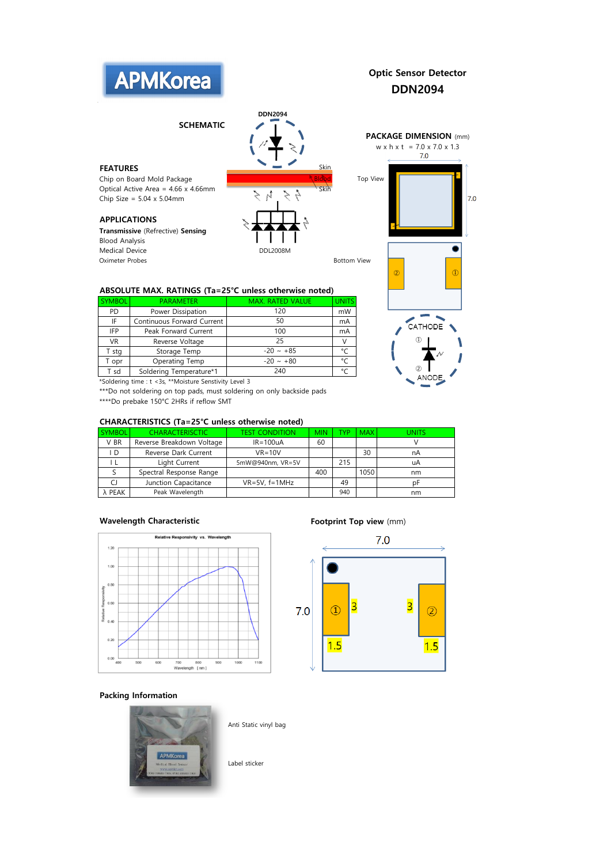

# Optic Sensor Detector DDN2094

SCHEMATIC

Chip on Board Mold Package **Blood Top View Research Top View** Optical Active Area = 4.66 x 4.66mm Chip Size =  $5.04 \times 5.04$ mm

## APPLICATIONS

Transmissive (Refrective) Sensing Blood Analysis Medical Device and DDL2008M Oximeter Probes and the contract of the contract of the Bottom View Bottom View



DDN2094

### ABSOLUTE MAX. RATINGS (Ta=25°C unless otherwise noted)

| <b>SYMBOL</b>                                                                                                                                                                                                                                                                     | <b>PARAMETER</b>           | <b>MAX. RATED VALUE</b> |    |  |  |  |  |
|-----------------------------------------------------------------------------------------------------------------------------------------------------------------------------------------------------------------------------------------------------------------------------------|----------------------------|-------------------------|----|--|--|--|--|
| <b>PD</b>                                                                                                                                                                                                                                                                         | Power Dissipation          | 120                     | mW |  |  |  |  |
| IF                                                                                                                                                                                                                                                                                | Continuous Forward Current | 50                      | mA |  |  |  |  |
| <b>IFP</b>                                                                                                                                                                                                                                                                        | Peak Forward Current       | 100                     | mA |  |  |  |  |
| <b>VR</b>                                                                                                                                                                                                                                                                         | Reverse Voltage            | 25                      |    |  |  |  |  |
| T stg                                                                                                                                                                                                                                                                             | Storage Temp               | $-20 \sim +85$          | ۰  |  |  |  |  |
| T opr                                                                                                                                                                                                                                                                             | Operating Temp             | $-20 \sim +80$          | °۲ |  |  |  |  |
| Soldering Temperature*1<br>T sd                                                                                                                                                                                                                                                   |                            | 240                     |    |  |  |  |  |
| $\sim$ $\sim$ $\sim$<br>. The contract of the contract of the contract of the contract of the contract of the contract of the contract of the contract of the contract of the contract of the contract of the contract of the contract of the contrac<br>$\overline{\phantom{a}}$ |                            |                         |    |  |  |  |  |

\*Soldering time : t <3s, \*\*Moisture Senstivity Level 3

\*\*\*Do not soldering on top pads, must soldering on only backside pads

\*\*\*\*Do prebake 150°C 2HRs if reflow SMT

### CHARACTERISTICS (Ta=25°C unless otherwise noted)

| <b>SYMBOL</b> | <b>CHARACTERISCTIC</b>    | fest condition     | <b>MIN</b> | ™D  | <b>MAX</b> | UNITS |
|---------------|---------------------------|--------------------|------------|-----|------------|-------|
| V BR          | Reverse Breakdown Voltage | $IR = 100uA$       | 60         |     |            |       |
| I D           | Reverse Dark Current      | $VR = 10V$         |            |     | 30         | nA    |
|               | Light Current             | 5mW@940nm, VR=5V   |            | 215 |            | uΑ    |
|               | Spectral Response Range   |                    | 400        |     | 1050       | nm    |
|               | Junction Capacitance      | $VR=5V$ , $f=1MHz$ |            | 49  |            | рŀ    |
| λ PEAK        | Peak Wavelength           |                    |            | 940 |            | nm    |

#### Wavelength Characteristic **Footprint Top view** (mm)





### Packing Information



Anti Static vinyl bag

Label sticker